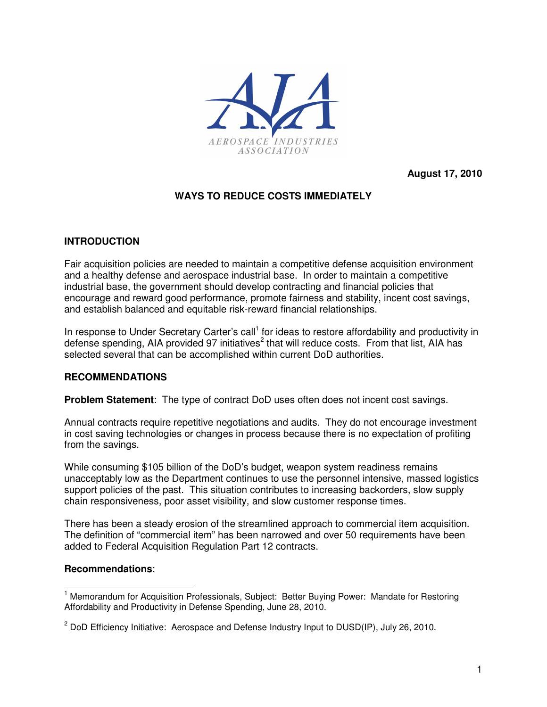

**August 17, 2010** 

# **WAYS TO REDUCE COSTS IMMEDIATELY**

## **INTRODUCTION**

Fair acquisition policies are needed to maintain a competitive defense acquisition environment and a healthy defense and aerospace industrial base. In order to maintain a competitive industrial base, the government should develop contracting and financial policies that encourage and reward good performance, promote fairness and stability, incent cost savings, and establish balanced and equitable risk-reward financial relationships.

In response to Under Secretary Carter's call<sup>1</sup> for ideas to restore affordability and productivity in defense spending, AIA provided 97 initiatives<sup>2</sup> that will reduce costs. From that list, AIA has selected several that can be accomplished within current DoD authorities.

#### **RECOMMENDATIONS**

**Problem Statement**: The type of contract DoD uses often does not incent cost savings.

Annual contracts require repetitive negotiations and audits. They do not encourage investment in cost saving technologies or changes in process because there is no expectation of profiting from the savings.

While consuming \$105 billion of the DoD's budget, weapon system readiness remains unacceptably low as the Department continues to use the personnel intensive, massed logistics support policies of the past. This situation contributes to increasing backorders, slow supply chain responsiveness, poor asset visibility, and slow customer response times.

There has been a steady erosion of the streamlined approach to commercial item acquisition. The definition of "commercial item" has been narrowed and over 50 requirements have been added to Federal Acquisition Regulation Part 12 contracts.

#### **Recommendations**:

 $\overline{a}$ 

<sup>&</sup>lt;sup>1</sup> Memorandum for Acquisition Professionals, Subject: Better Buying Power: Mandate for Restoring Affordability and Productivity in Defense Spending, June 28, 2010.

<sup>&</sup>lt;sup>2</sup> DoD Efficiency Initiative: Aerospace and Defense Industry Input to DUSD(IP), July 26, 2010.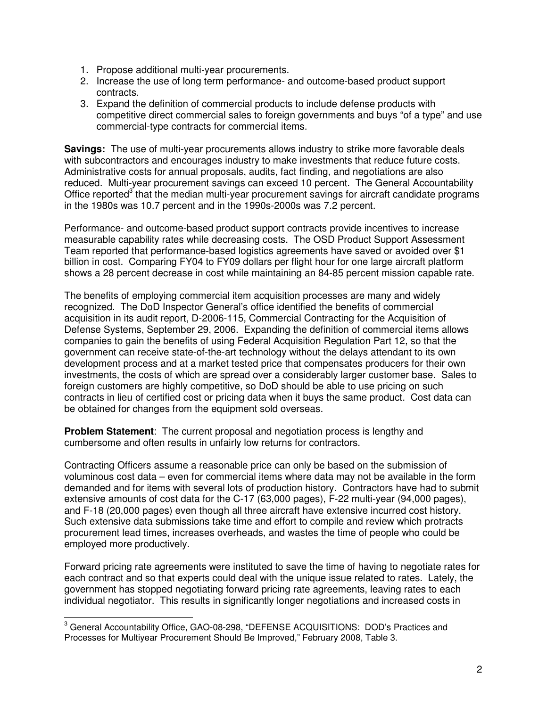- 1. Propose additional multi-year procurements.
- 2. Increase the use of long term performance- and outcome-based product support contracts.
- 3. Expand the definition of commercial products to include defense products with competitive direct commercial sales to foreign governments and buys "of a type" and use commercial-type contracts for commercial items.

**Savings:** The use of multi-year procurements allows industry to strike more favorable deals with subcontractors and encourages industry to make investments that reduce future costs. Administrative costs for annual proposals, audits, fact finding, and negotiations are also reduced. Multi-year procurement savings can exceed 10 percent. The General Accountability Office reported<sup>3</sup> that the median multi-year procurement savings for aircraft candidate programs in the 1980s was 10.7 percent and in the 1990s-2000s was 7.2 percent.

Performance- and outcome-based product support contracts provide incentives to increase measurable capability rates while decreasing costs. The OSD Product Support Assessment Team reported that performance-based logistics agreements have saved or avoided over \$1 billion in cost. Comparing FY04 to FY09 dollars per flight hour for one large aircraft platform shows a 28 percent decrease in cost while maintaining an 84-85 percent mission capable rate.

The benefits of employing commercial item acquisition processes are many and widely recognized. The DoD Inspector General's office identified the benefits of commercial acquisition in its audit report, D-2006-115, Commercial Contracting for the Acquisition of Defense Systems, September 29, 2006. Expanding the definition of commercial items allows companies to gain the benefits of using Federal Acquisition Regulation Part 12, so that the government can receive state-of-the-art technology without the delays attendant to its own development process and at a market tested price that compensates producers for their own investments, the costs of which are spread over a considerably larger customer base. Sales to foreign customers are highly competitive, so DoD should be able to use pricing on such contracts in lieu of certified cost or pricing data when it buys the same product. Cost data can be obtained for changes from the equipment sold overseas.

**Problem Statement**: The current proposal and negotiation process is lengthy and cumbersome and often results in unfairly low returns for contractors.

Contracting Officers assume a reasonable price can only be based on the submission of voluminous cost data – even for commercial items where data may not be available in the form demanded and for items with several lots of production history. Contractors have had to submit extensive amounts of cost data for the C-17 (63,000 pages), F-22 multi-year (94,000 pages), and F-18 (20,000 pages) even though all three aircraft have extensive incurred cost history. Such extensive data submissions take time and effort to compile and review which protracts procurement lead times, increases overheads, and wastes the time of people who could be employed more productively.

Forward pricing rate agreements were instituted to save the time of having to negotiate rates for each contract and so that experts could deal with the unique issue related to rates. Lately, the government has stopped negotiating forward pricing rate agreements, leaving rates to each individual negotiator. This results in significantly longer negotiations and increased costs in

 3 General Accountability Office, GAO-08-298, "DEFENSE ACQUISITIONS: DOD's Practices and Processes for Multiyear Procurement Should Be Improved," February 2008, Table 3.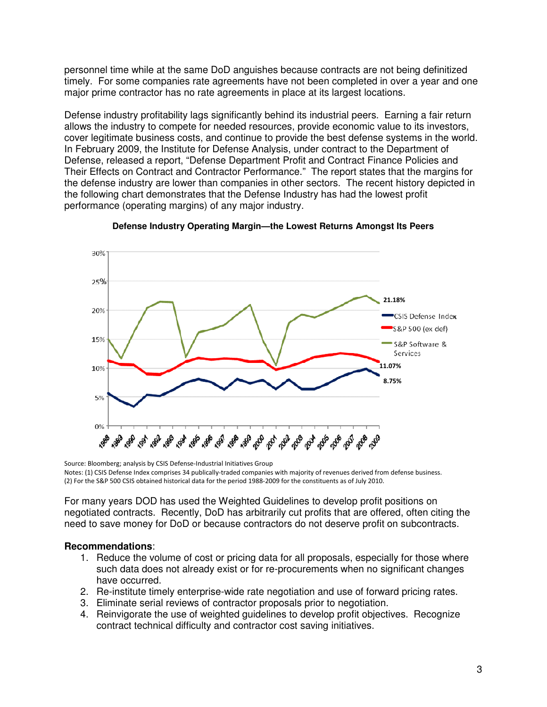personnel time while at the same DoD anguishes because contracts are not being definitized timely. For some companies rate agreements have not been completed in over a year and one major prime contractor has no rate agreements in place at its largest locations.

Defense industry profitability lags significantly behind its industrial peers. Earning a fair return allows the industry to compete for needed resources, provide economic value to its investors, cover legitimate business costs, and continue to provide the best defense systems in the world. In February 2009, the Institute for Defense Analysis, under contract to the Department of Defense, released a report, "Defense Department Profit and Contract Finance Policies and Their Effects on Contract and Contractor Performance." The report states that the margins for the defense industry are lower than companies in other sectors. The recent history depicted in the following chart demonstrates that the Defense Industry has had the lowest profit performance (operating margins) of any major industry.





Source: Bloomberg; analysis by CSIS Defense-Industrial Initiatives Group Notes: (1) CSIS Defense Index comprises 34 publically-traded companies with majority of revenues derived from defense business. (2) For the S&P 500 CSIS obtained historical data for the period 1988-2009 for the constituents as of July 2010.

For many years DOD has used the Weighted Guidelines to develop profit positions on negotiated contracts. Recently, DoD has arbitrarily cut profits that are offered, often citing the need to save money for DoD or because contractors do not deserve profit on subcontracts.

#### **Recommendations**:

- 1. Reduce the volume of cost or pricing data for all proposals, especially for those where such data does not already exist or for re-procurements when no significant changes have occurred.
- 2. Re-institute timely enterprise-wide rate negotiation and use of forward pricing rates.
- 3. Eliminate serial reviews of contractor proposals prior to negotiation.
- 4. Reinvigorate the use of weighted guidelines to develop profit objectives. Recognize contract technical difficulty and contractor cost saving initiatives.